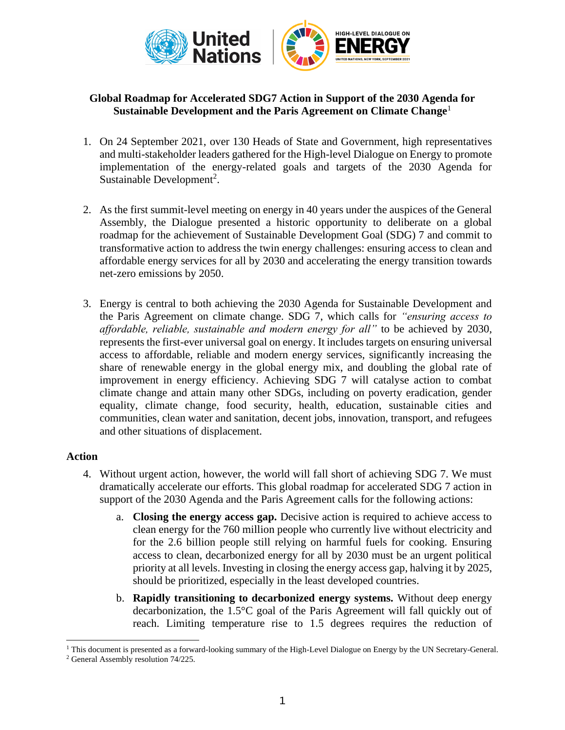

# **Global Roadmap for Accelerated SDG7 Action in Support of the 2030 Agenda for Sustainable Development and the Paris Agreement on Climate Change**<sup>1</sup>

- 1. On 24 September 2021, over 130 Heads of State and Government, high representatives and multi-stakeholder leaders gathered for the High-level Dialogue on Energy to promote implementation of the energy-related goals and targets of the 2030 Agenda for Sustainable Development<sup>2</sup>.
- 2. As the first summit-level meeting on energy in 40 years under the auspices of the General Assembly, the Dialogue presented a historic opportunity to deliberate on a global roadmap for the achievement of Sustainable Development Goal (SDG) 7 and commit to transformative action to address the twin energy challenges: ensuring access to clean and affordable energy services for all by 2030 and accelerating the energy transition towards net-zero emissions by 2050.
- 3. Energy is central to both achieving the 2030 Agenda for Sustainable Development and the Paris Agreement on climate change. SDG 7, which calls for *"ensuring access to affordable, reliable, sustainable and modern energy for all"* to be achieved by 2030, represents the first-ever universal goal on energy. It includes targets on ensuring universal access to affordable, reliable and modern energy services, significantly increasing the share of renewable energy in the global energy mix, and doubling the global rate of improvement in energy efficiency. Achieving SDG 7 will catalyse action to combat climate change and attain many other SDGs, including on poverty eradication, gender equality, climate change, food security, health, education, sustainable cities and communities, clean water and sanitation, decent jobs, innovation, transport, and refugees and other situations of displacement.

## **Action**

- 4. Without urgent action, however, the world will fall short of achieving SDG 7. We must dramatically accelerate our efforts. This global roadmap for accelerated SDG 7 action in support of the 2030 Agenda and the Paris Agreement calls for the following actions:
	- a. **Closing the energy access gap.** Decisive action is required to achieve access to clean energy for the 760 million people who currently live without electricity and for the 2.6 billion people still relying on harmful fuels for cooking. Ensuring access to clean, decarbonized energy for all by 2030 must be an urgent political priority at all levels. Investing in closing the energy access gap, halving it by 2025, should be prioritized, especially in the least developed countries.
	- b. **Rapidly transitioning to decarbonized energy systems.** Without deep energy decarbonization, the 1.5°C goal of the Paris Agreement will fall quickly out of reach. Limiting temperature rise to 1.5 degrees requires the reduction of

<sup>&</sup>lt;sup>1</sup> This document is presented as a forward-looking summary of the High-Level Dialogue on Energy by the UN Secretary-General.

<sup>2</sup> General Assembly resolution 74/225.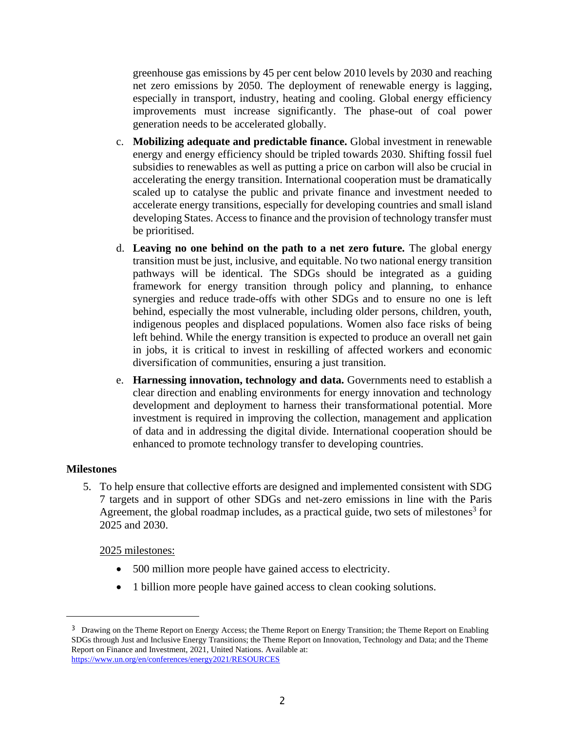greenhouse gas emissions by 45 per cent below 2010 levels by 2030 and reaching net zero emissions by 2050. The deployment of renewable energy is lagging, especially in transport, industry, heating and cooling. Global energy efficiency improvements must increase significantly. The phase-out of coal power generation needs to be accelerated globally.

- c. **Mobilizing adequate and predictable finance.** Global investment in renewable energy and energy efficiency should be tripled towards 2030. Shifting fossil fuel subsidies to renewables as well as putting a price on carbon will also be crucial in accelerating the energy transition. International cooperation must be dramatically scaled up to catalyse the public and private finance and investment needed to accelerate energy transitions, especially for developing countries and small island developing States. Access to finance and the provision of technology transfer must be prioritised.
- d. **Leaving no one behind on the path to a net zero future.** The global energy transition must be just, inclusive, and equitable. No two national energy transition pathways will be identical. The SDGs should be integrated as a guiding framework for energy transition through policy and planning, to enhance synergies and reduce trade-offs with other SDGs and to ensure no one is left behind, especially the most vulnerable, including older persons, children, youth, indigenous peoples and displaced populations. Women also face risks of being left behind. While the energy transition is expected to produce an overall net gain in jobs, it is critical to invest in reskilling of affected workers and economic diversification of communities, ensuring a just transition.
- e. **Harnessing innovation, technology and data.** Governments need to establish a clear direction and enabling environments for energy innovation and technology development and deployment to harness their transformational potential. More investment is required in improving the collection, management and application of data and in addressing the digital divide. International cooperation should be enhanced to promote technology transfer to developing countries.

## **Milestones**

5. To help ensure that collective efforts are designed and implemented consistent with SDG 7 targets and in support of other SDGs and net-zero emissions in line with the Paris Agreement, the global roadmap includes, as a practical guide, two sets of milestones<sup>3</sup> for 2025 and 2030.

2025 milestones:

- 500 million more people have gained access to electricity.
- 1 billion more people have gained access to clean cooking solutions.

<sup>&</sup>lt;sup>3</sup> Drawing on the Theme Report on Energy Access; the Theme Report on Energy Transition; the Theme Report on Enabling SDGs through Just and Inclusive Energy Transitions; the Theme Report on Innovation, Technology and Data; and the Theme Report on Finance and Investment, 2021, United Nations. Available at: <https://www.un.org/en/conferences/energy2021/RESOURCES>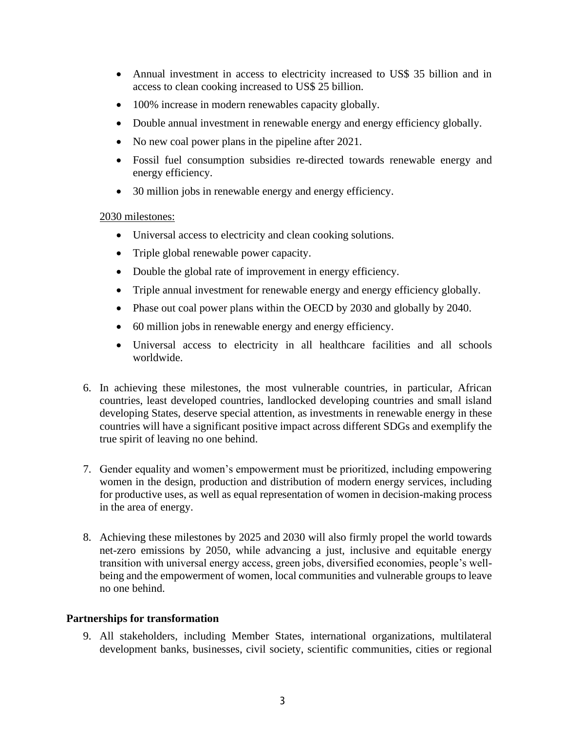- Annual investment in access to electricity increased to US\$ 35 billion and in access to clean cooking increased to US\$ 25 billion.
- 100% increase in modern renewables capacity globally.
- Double annual investment in renewable energy and energy efficiency globally.
- No new coal power plans in the pipeline after 2021.
- Fossil fuel consumption subsidies re-directed towards renewable energy and energy efficiency.
- 30 million jobs in renewable energy and energy efficiency.

## 2030 milestones:

- Universal access to electricity and clean cooking solutions.
- Triple global renewable power capacity.
- Double the global rate of improvement in energy efficiency.
- Triple annual investment for renewable energy and energy efficiency globally.
- Phase out coal power plans within the OECD by 2030 and globally by 2040.
- 60 million jobs in renewable energy and energy efficiency.
- Universal access to electricity in all healthcare facilities and all schools worldwide.
- 6. In achieving these milestones, the most vulnerable countries, in particular, African countries, least developed countries, landlocked developing countries and small island developing States, deserve special attention, as investments in renewable energy in these countries will have a significant positive impact across different SDGs and exemplify the true spirit of leaving no one behind.
- 7. Gender equality and women's empowerment must be prioritized, including empowering women in the design, production and distribution of modern energy services, including for productive uses, as well as equal representation of women in decision-making process in the area of energy.
- 8. Achieving these milestones by 2025 and 2030 will also firmly propel the world towards net-zero emissions by 2050, while advancing a just, inclusive and equitable energy transition with universal energy access, green jobs, diversified economies, people's wellbeing and the empowerment of women, local communities and vulnerable groups to leave no one behind.

## **Partnerships for transformation**

9. All stakeholders, including Member States, international organizations, multilateral development banks, businesses, civil society, scientific communities, cities or regional